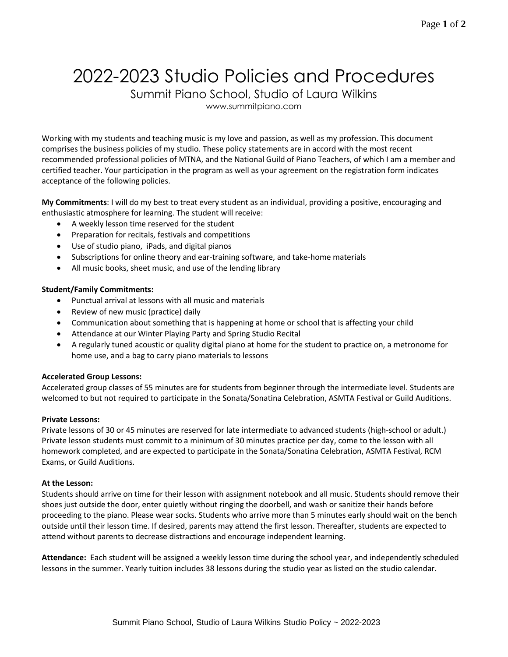# 2022-2023 Studio Policies and Procedures

Summit Piano School, Studio of Laura Wilkins

www.summitpiano.com

Working with my students and teaching music is my love and passion, as well as my profession. This document comprises the business policies of my studio. These policy statements are in accord with the most recent recommended professional policies of MTNA, and the National Guild of Piano Teachers, of which I am a member and certified teacher. Your participation in the program as well as your agreement on the registration form indicates acceptance of the following policies.

**My Commitments**: I will do my best to treat every student as an individual, providing a positive, encouraging and enthusiastic atmosphere for learning. The student will receive:

- A weekly lesson time reserved for the student
- Preparation for recitals, festivals and competitions
- Use of studio piano, iPads, and digital pianos
- Subscriptions for online theory and ear-training software, and take-home materials
- All music books, sheet music, and use of the lending library

### **Student/Family Commitments:**

- Punctual arrival at lessons with all music and materials
- Review of new music (practice) daily
- Communication about something that is happening at home or school that is affecting your child
- Attendance at our Winter Playing Party and Spring Studio Recital
- A regularly tuned acoustic or quality digital piano at home for the student to practice on, a metronome for home use, and a bag to carry piano materials to lessons

# **Accelerated Group Lessons:**

Accelerated group classes of 55 minutes are for students from beginner through the intermediate level. Students are welcomed to but not required to participate in the Sonata/Sonatina Celebration, ASMTA Festival or Guild Auditions.

# **Private Lessons:**

Private lessons of 30 or 45 minutes are reserved for late intermediate to advanced students (high-school or adult.) Private lesson students must commit to a minimum of 30 minutes practice per day, come to the lesson with all homework completed, and are expected to participate in the Sonata/Sonatina Celebration, ASMTA Festival, RCM Exams, or Guild Auditions.

#### **At the Lesson:**

Students should arrive on time for their lesson with assignment notebook and all music. Students should remove their shoes just outside the door, enter quietly without ringing the doorbell, and wash or sanitize their hands before proceeding to the piano. Please wear socks. Students who arrive more than 5 minutes early should wait on the bench outside until their lesson time. If desired, parents may attend the first lesson. Thereafter, students are expected to attend without parents to decrease distractions and encourage independent learning.

**Attendance:** Each student will be assigned a weekly lesson time during the school year, and independently scheduled lessons in the summer. Yearly tuition includes 38 lessons during the studio year as listed on the studio calendar.